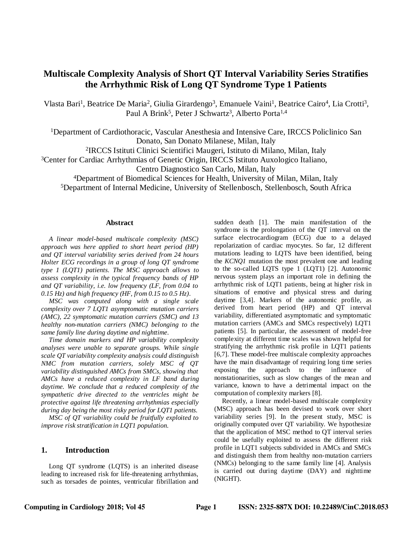# **Multiscale Complexity Analysis of Short QT Interval Variability Series Stratifies the Arrhythmic Risk of Long QT Syndrome Type 1 Patients**

Vlasta Bari<sup>1</sup>, Beatrice De Maria<sup>2</sup>, Giulia Girardengo<sup>3</sup>, Emanuele Vaini<sup>1</sup>, Beatrice Cairo<sup>4</sup>, Lia Crotti<sup>3</sup>, Paul A Brink<sup>5</sup>, Peter J Schwartz<sup>3</sup>, Alberto Porta<sup>1,4</sup>

<sup>1</sup>Department of Cardiothoracic, Vascular Anesthesia and Intensive Care, IRCCS Policlinico San Donato, San Donato Milanese, Milan, Italy

2 IRCCS Istituti Clinici Scientifici Maugeri, Istituto di Milano, Milan, Italy

<sup>3</sup>Center for Cardiac Arrhythmias of Genetic Origin, IRCCS Istituto Auxologico Italiano,

Centro Diagnostico San Carlo, Milan, Italy

<sup>4</sup>Department of Biomedical Sciences for Health, University of Milan, Milan, Italy

<sup>5</sup>Department of Internal Medicine, University of Stellenbosch, Stellenbosch, South Africa

#### **Abstract**

*A linear model-based multiscale complexity (MSC) approach was here applied to short heart period (HP) and QT interval variability series derived from 24 hours Holter ECG recordings in a group of long QT syndrome type 1 (LQT1) patients. The MSC approach allows to assess complexity in the typical frequency bands of HP and QT variability, i.e. low frequency (LF, from 0.04 to 0.15 Hz) and high frequency (HF, from 0.15 to 0.5 Hz).*

*MSC was computed along with a single scale complexity over 7 LQT1 asymptomatic mutation carriers (AMC), 22 symptomatic mutation carriers (SMC) and 13 healthy non-mutation carriers (NMC) belonging to the same family line during daytime and nighttime.*

*Time domain markers and HP variability complexity analyses were unable to separate groups. While single scale QT variability complexity analysis could distinguish NMC from mutation carriers, solely MSC of QT variability distinguished AMCs from SMCs, showing that AMCs have a reduced complexity in LF band during daytime. We conclude that a reduced complexity of the sympathetic drive directed to the ventricles might be protective against life threatening arrhythmias especially during day being the most risky period for LQT1 patients.*

*MSC of QT variability could be fruitfully exploited to improve risk stratification in LQT1 population.*

## **1. Introduction**

Long QT syndrome (LQTS) is an inherited disease leading to increased risk for life-threatening arrhythmias, such as torsades de pointes, ventricular fibrillation and sudden death [1]. The main manifestation of the syndrome is the prolongation of the QT interval on the surface electrocardiogram (ECG) due to a delayed repolarization of cardiac myocytes. So far, 12 different mutations leading to LQTS have been identified, being the *KCNQ1* mutation the most prevalent one and leading to the so-called LQTS type 1 (LQT1) [2]. Autonomic nervous system plays an important role in defining the arrhythmic risk of LQT1 patients, being at higher risk in situations of emotive and physical stress and during daytime [3,4]. Markers of the autonomic profile, as derived from heart period (HP) and QT interval variability, differentiated asymptomatic and symptomatic mutation carriers (AMCs and SMCs respectively) LQT1 patients [5]. In particular, the assessment of model-free complexity at different time scales was shown helpful for stratifying the arrhythmic risk profile in LQT1 patients [6,7]. These model-free multiscale complexity approaches have the main disadvantage of requiring long time series exposing the approach to the influence of nonstationarities, such as slow changes of the mean and variance, known to have a detrimental impact on the computation of complexity markers [8].

Recently, a linear model-based multiscale complexity (MSC) approach has been devised to work over short variability series [9]. In the present study, MSC is originally computed over QT variability. We hypothesize that the application of MSC method to QT interval series could be usefully exploited to assess the different risk profile in LQT1 subjects subdivided in AMCs and SMCs and distinguish them from healthy non-mutation carriers (NMCs) belonging to the same family line [4]. Analysis is carried out during daytime (DAY) and nighttime (NIGHT).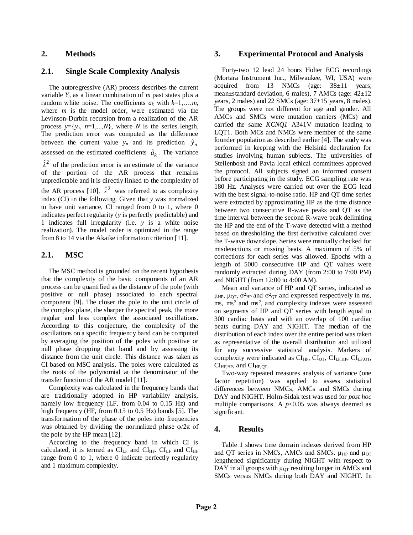## **2. Methods**

## **2.1. Single Scale Complexity Analysis**

The autoregressive (AR) process describes the current variable  $Y_n$  as a linear combination of  $m$  past states plus a random white noise. The coefficients  $a_k$  with  $k=1,\ldots,m$ , where *m* is the model order, were estimated via the Levinson-Durbin recursion from a realization of the AR process  $y = \{y_n, n=1,...,N\}$ , where *N* is the series length. The prediction error was computed as the difference between the current value  $y_n$  and its prediction  $\hat{y}_n$ assessed on the estimated coefficients  $\hat{a}_k$ . The variance  $\hat{\lambda}^2$  of the prediction error is an estimate of the variance of the portion of the AR process that remains unpredictable and it is directly linked to the complexity of the AR process [10].  $\hat{\lambda}^2$  was referred to as complexity index (CI) in the following. Given that *y* was normalized to have unit variance, CI ranged from 0 to 1, where 0 indicates perfect regularity (*y* is perfectly predictable) and 1 indicates full irregularity (i.e. *y* is a white noise realization). The model order is optimized in the range from 8 to 14 via the Akaike information criterion [11].

### **2.1. MSC**

The MSC method is grounded on the recent hypothesis that the complexity of the basic components of an AR process can be quantified as the distance of the pole (with positive or null phase) associated to each spectral component [9]. The closer the pole to the unit circle of the complex plane, the sharper the spectral peak, the more regular and less complex the associated oscillations. According to this conjecture, the complexity of the oscillations on a specific frequency band can be computed by averaging the position of the poles with positive or null phase dropping that band and by assessing its distance from the unit circle. This distance was taken as CI based on MSC analysis. The poles were calculated as the roots of the polynomial at the denominator of the transfer function of the AR model [11].

Complexity was calculated in the frequency bands that are traditionally adopted in HP variability analysis, namely low frequency (LF, from 0.04 to 0.15 Hz) and high frequency (HF, from 0.15 to 0.5 Hz) bands [5]. The transformation of the phase of the poles into frequencies was obtained by dividing the normalized phase  $\varphi/2\pi$  of the pole by the HP mean [12].

According to the frequency band in which CI is calculated, it is termed as  $CI<sub>LF</sub>$  and  $CI<sub>HF</sub>$  and  $CI<sub>HF</sub>$ range from 0 to 1, where 0 indicate perfectly regularity and 1 maximum complexity.

### **3. Experimental Protocol and Analysis**

Forty-two 12 lead 24 hours Holter ECG recordings (Mortara Instrument Inc., Milwaukee, WI, USA) were acquired from 13 NMCs (age: 38±11 years, mean±standard deviation, 6 males), 7 AMCs (age: 42±12 years, 2 males) and 22 SMCs (age:  $37\pm15$  years, 8 males). The groups were not different for age and gender. All AMCs and SMCs were mutation carriers (MCs) and carried the same *KCNQ1* A341V mutation leading to LQT1. Both MCs and NMCs were member of the same founder population as described earlier [4]. The study was performed in keeping with the Helsinki declaration for studies involving human subjects. The universities of Stellenbosh and Pavia local ethical committees approved the protocol. All subjects signed an informed consent before participating in the study. ECG sampling rate was 180 Hz. Analyses were carried out over the ECG lead with the best signal-to-noise ratio. HP and QT time series were extracted by approximating HP as the time distance between two consecutive R-wave peaks and QT as the time interval between the second R-wave peak delimiting the HP and the end of the T-wave detected with a method based on thresholding the first derivative calculated over the T-wave downslope. Series were manually checked for misdetections or missing beats. A maximum of 5% of corrections for each series was allowed. Epochs with a length of 5000 consecutive HP and QT values were randomly extracted during DAY (from 2:00 to 7:00 PM) and NIGHT (from 12:00 to 4:00 AM).

Mean and variance of HP and QT series, indicated as μ<sub>HP</sub>, μ<sub>QT</sub>,  $\sigma^2$ <sub>HP</sub> and  $\sigma^2$ <sub>QT</sub> and expressed respectively in ms,  $\text{ms}$ ,  $\text{ms}^2$  and  $\text{ms}^2$ , and complexity indexes were assessed on segments of HP and QT series with length equal to 300 cardiac beats and with an overlap of 100 cardiac beats during DAY and NIGHT. The median of the distribution of each index over the entire period was taken as representative of the overall distribution and utilized for any successive statistical analysis. Markers of complexity were indicated as  $CI_{HP}$ ,  $CI_{OT}$ ,  $CI_{LF,HP}$ ,  $CI_{LF,OT}$ ,  $CI_{HF,HP}$ , and  $CI_{HF,OT}$ .

Two-way repeated measures analysis of variance (one factor repetition) was applied to assess statistical differences between NMCs, AMCs and SMCs during DAY and NIGHT. Holm-Sidak test was used for *post hoc* multiple comparisons. A  $p<0.05$  was always deemed as significant.

## **4. Results**

Table 1 shows time domain indexes derived from HP and QT series in NMCs, AMCs and SMCs.  $\mu_{HP}$  and  $\mu_{OT}$ lengthened significantly during NIGHT with respect to DAY in all groups with  $\mu_{\text{QT}}$  resulting longer in AMCs and SMCs versus NMCs during both DAY and NIGHT. In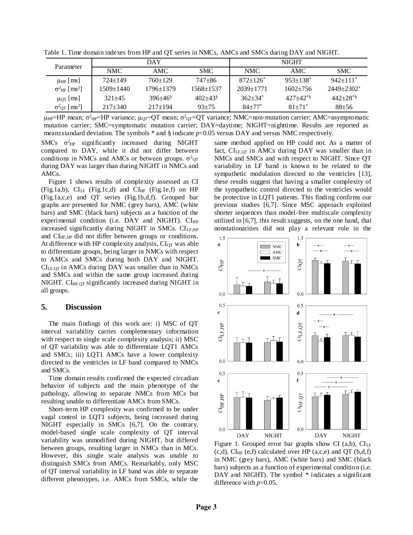Table 1. Time domain indexes from HP and QT series in NMCs, AMCs and SMCs during DAY and NIGHT.

| Parameter                                   | <b>DAY</b>  |                 |               | <b>NIGHT</b>            |                            |                            |
|---------------------------------------------|-------------|-----------------|---------------|-------------------------|----------------------------|----------------------------|
|                                             | NMC         | AMC             | <b>SMC</b>    | NMC                     | AMC.                       | <b>SMC</b>                 |
| $\mu_{HP}$ [ms]                             | $724 + 149$ | $760+129$       | $747 + 86$    | $872+126^*$             | $953 \pm 138$ <sup>*</sup> | $942+111$ <sup>*</sup>     |
| $\sigma^2$ <sub>HP</sub> [ms <sup>2</sup> ] | 1509±1440   | $1796 \pm 1379$ | $1568 + 1537$ | $2039+1771$             | $1602 + 756$               | $2449 + 2302$ <sup>*</sup> |
| $\mu_{\text{OT}}$ [ms]                      | $321 + 45$  | $396+46$        | $402+43$      | $362 + 34$ <sup>*</sup> | $427+42**$                 | $442+28$ <sup>*</sup>      |
| $\sigma^2$ <sub>OT</sub> [ms <sup>2</sup> ] | $217 + 340$ | $217+194$       | $93 + 75$     | $84 + 77$ <sup>*</sup>  | $81 + 71$ <sup>*</sup>     | $88 + 56$                  |

 $\mu_{HP}$ =HP mean; σ<sup>2</sup><sub>HP</sub>=HP variance; μ<sub>QT</sub>=QT mean; σ<sup>2</sup><sub>QT</sub>=QT variance; NMC=non-mutation carrier; AMC=asymptomatic mutation carrier; SMC=symptomatic mutation carrier; DAY=daytime; NIGHT=nighttime. Results are reported as mean±standard deviation. The symbols \* and § indicate *p*<0.05 versus DAY and versus NMC respectively.

SMCs  $\sigma^2$ <sub>HP</sub> significantly increased during NIGHT compared to DAY, while it did not differ between conditions in NMCs and AMCs or between groups.  $\sigma^2$ <sub>QT</sub> during DAY was larger than during NIGHT in NMCs and AMCs.

Figure 1 shows results of complexity assessed as CI (Fig.1a,b),  $CI<sub>LF</sub>$  (Fig.1c,d) and  $CI<sub>HF</sub>$  (Fig.1e,f) on HP (Fig.1a,c,e) and QT series (Fig.1b,d,f). Grouped bar graphs are presented for NMC (grey bars), AMC (white bars) and SMC (black bars) subjects as a function of the experimental condition (i.e.  $DAY$  and NIGHT).  $CI_{HP}$ increased significantly during NIGHT in SMCs. CI<sub>LF,HP</sub> and CI<sub>HF,HP</sub> did not differ between groups or conditions. At difference with HP complexity analysis,  $CI<sub>OT</sub>$  was able to differentiate groups, being larger in NMCs with respect to AMCs and SMCs during both DAY and NIGHT.  $CI<sub>LF,QT</sub>$  in AMCs during DAY was smaller than in NMCs and SMCs and within the same group increased during NIGHT.  $CI_{HF,OT}$  significantly increased during NIGHT in all groups.

#### **5. Discussion**

The main findings of this work are: i) MSC of QT interval variability carries complementary information with respect to single scale complexity analysis; ii) MSC of QT variability was able to differentiate LQT1 AMCs and SMCs; iii) LQT1 AMCs have a lower complexity directed to the ventricles in LF band compared to NMCs and SMCs.

Time domain results confirmed the expected circadian behavior of subjects and the main phenotype of the pathology, allowing to separate NMCs from MCs but resulting unable to differentiate AMCs from SMCs.

Short-term HP complexity was confirmed to be under vagal control in LQT1 subjects, being increased during NIGHT especially in SMCs [6,7]. On the contrary, model-based single scale complexity of QT interval variability was unmodified during NIGHT, but differed between groups, resulting larger in NMCs than in MCs. However, this single scale analysis was unable to distinguish SMCs from AMCs. Remarkably, only MSC of QT interval variability in LF band was able to separate different phenotypes, i.e. AMCs from SMCs, while the

same method applied on HP could not. As a matter of fact,  $CI<sub>LF,QT</sub>$  in AMCs during DAY was smaller than in NMCs and SMCs and with respect to NIGHT. Since QT variability in LF band is known to be related to the sympathetic modulation directed to the ventricles [13], these results suggest that having a smaller complexity of the sympathetic control directed to the ventricles would be protective in LQT1 patients. This finding confirms our previous studies [6,7]. Since MSC approach exploited shorter sequences than model-free multiscale complexity utilized in [6,7], this result suggests, on the one hand, that nonstationarities did not play a relevant role in the



Figure 1. Grouped error bar graphs show CI (a,b),  $CI_{LF}$  $(c,d)$ , CI<sub>HF</sub>  $(e,f)$  calculated over HP  $(a,c,e)$  and QT  $(b,d,f)$ in NMC (grey bars), AMC (white bars) and SMC (black bars) subjects as a function of experimental condition (i.e. DAY and NIGHT). The symbol \* indicates a significant difference with *p*<0.05.